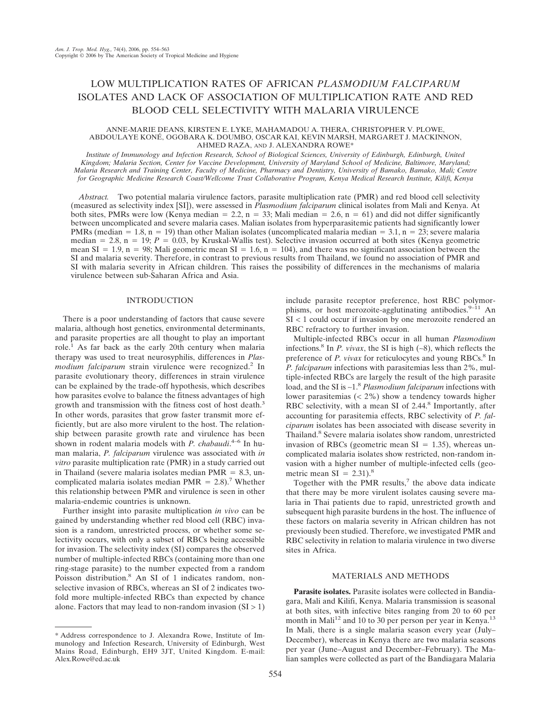# LOW MULTIPLICATION RATES OF AFRICAN *PLASMODIUM FALCIPARUM* ISOLATES AND LACK OF ASSOCIATION OF MULTIPLICATION RATE AND RED BLOOD CELL SELECTIVITY WITH MALARIA VIRULENCE

### ANNE-MARIE DEANS, KIRSTEN E. LYKE, MAHAMADOU A. THERA, CHRISTOPHER V. PLOWE, ABDOULAYE KONÉ, OGOBARA K. DOUMBO, OSCAR KAI, KEVIN MARSH, MARGARET J. MACKINNON, AHMED RAZA, AND J. ALEXANDRA ROWE\*

*Institute of Immunology and Infection Research, School of Biological Sciences, University of Edinburgh, Edinburgh, United Kingdom; Malaria Section, Center for Vaccine Development, University of Maryland School of Medicine, Baltimore, Maryland; Malaria Research and Training Center, Faculty of Medicine, Pharmacy and Dentistry, University of Bamako, Bamako, Mali; Centre for Geographic Medicine Research Coast/Wellcome Trust Collaborative Program, Kenya Medical Research Institute, Kilifi, Kenya*

*Abstract.* Two potential malaria virulence factors, parasite multiplication rate (PMR) and red blood cell selectivity (measured as selectivity index [SI]), were assessed in *Plasmodium falciparum* clinical isolates from Mali and Kenya. At both sites, PMRs were low (Kenya median = 2.2, n = 33; Mali median = 2.6, n = 61) and did not differ significantly between uncomplicated and severe malaria cases. Malian isolates from hyperparasitemic patients had significantly lower PMRs (median  $= 1.8$ , n  $= 19$ ) than other Malian isolates (uncomplicated malaria median  $= 3.1$ , n  $= 23$ ; severe malaria median  $= 2.8$ , n  $= 19$ ;  $P = 0.03$ , by Kruskal-Wallis test). Selective invasion occurred at both sites (Kenya geometric mean SI = 1.9, n = 98; Mali geometric mean SI = 1.6, n = 104), and there was no significant association between the SI and malaria severity. Therefore, in contrast to previous results from Thailand, we found no association of PMR and SI with malaria severity in African children. This raises the possibility of differences in the mechanisms of malaria virulence between sub-Saharan Africa and Asia.

## INTRODUCTION

There is a poor understanding of factors that cause severe malaria, although host genetics, environmental determinants, and parasite properties are all thought to play an important role.1 As far back as the early 20th century when malaria therapy was used to treat neurosyphilis, differences in *Plasmodium falciparum* strain virulence were recognized.<sup>2</sup> In parasite evolutionary theory, differences in strain virulence can be explained by the trade-off hypothesis, which describes how parasites evolve to balance the fitness advantages of high growth and transmission with the fitness cost of host death.<sup>3</sup> In other words, parasites that grow faster transmit more efficiently, but are also more virulent to the host. The relationship between parasite growth rate and virulence has been shown in rodent malaria models with *P. chabaudi*. 4–6 In human malaria, *P. falciparum* virulence was associated with *in vitro* parasite multiplication rate (PMR) in a study carried out in Thailand (severe malaria isolates median  $PMR = 8.3$ , uncomplicated malaria isolates median PMR  $= 2.8$ ).<sup>7</sup> Whether this relationship between PMR and virulence is seen in other malaria-endemic countries is unknown.

Further insight into parasite multiplication *in vivo* can be gained by understanding whether red blood cell (RBC) invasion is a random, unrestricted process, or whether some selectivity occurs, with only a subset of RBCs being accessible for invasion. The selectivity index (SI) compares the observed number of multiple-infected RBCs (containing more than one ring-stage parasite) to the number expected from a random Poisson distribution.<sup>8</sup> An SI of 1 indicates random, nonselective invasion of RBCs, whereas an SI of 2 indicates twofold more multiple-infected RBCs than expected by chance alone. Factors that may lead to non-random invasion  $(SI > 1)$  include parasite receptor preference, host RBC polymorphisms, or host merozoite-agglutinating antibodies.<sup>9–11</sup> An SI < 1 could occur if invasion by one merozoite rendered an RBC refractory to further invasion.

Multiple-infected RBCs occur in all human *Plasmodium* infections.<sup>8</sup> In *P. vivax*, the SI is high (∼8), which reflects the preference of *P. vivax* for reticulocytes and young RBCs.<sup>8</sup> In *P. falciparum* infections with parasitemias less than 2%, multiple-infected RBCs are largely the result of the high parasite load, and the SI is ∼1.<sup>8</sup> *Plasmodium falciparum* infections with lower parasitemias  $(< 2\%)$  show a tendency towards higher RBC selectivity, with a mean SI of 2.44.<sup>8</sup> Importantly, after accounting for parasitemia effects, RBC selectivity of *P. falciparum* isolates has been associated with disease severity in Thailand.<sup>8</sup> Severe malaria isolates show random, unrestricted invasion of RBCs (geometric mean  $SI = 1.35$ ), whereas uncomplicated malaria isolates show restricted, non-random invasion with a higher number of multiple-infected cells (geometric mean  $SI = 2.31$ .<sup>8</sup>

Together with the PMR results, $7$  the above data indicate that there may be more virulent isolates causing severe malaria in Thai patients due to rapid, unrestricted growth and subsequent high parasite burdens in the host. The influence of these factors on malaria severity in African children has not previously been studied. Therefore, we investigated PMR and RBC selectivity in relation to malaria virulence in two diverse sites in Africa.

# MATERIALS AND METHODS

**Parasite isolates.** Parasite isolates were collected in Bandiagara, Mali and Kilifi, Kenya. Malaria transmission is seasonal at both sites, with infective bites ranging from 20 to 60 per month in Mali<sup>12</sup> and 10 to 30 per person per year in Kenya.<sup>13</sup> In Mali, there is a single malaria season every year (July– December), whereas in Kenya there are two malaria seasons per year (June–August and December–February). The Malian samples were collected as part of the Bandiagara Malaria

<sup>\*</sup> Address correspondence to J. Alexandra Rowe, Institute of Immunology and Infection Research, University of Edinburgh, West Mains Road, Edinburgh, EH9 3JT, United Kingdom. E-mail: Alex.Rowe@ed.ac.uk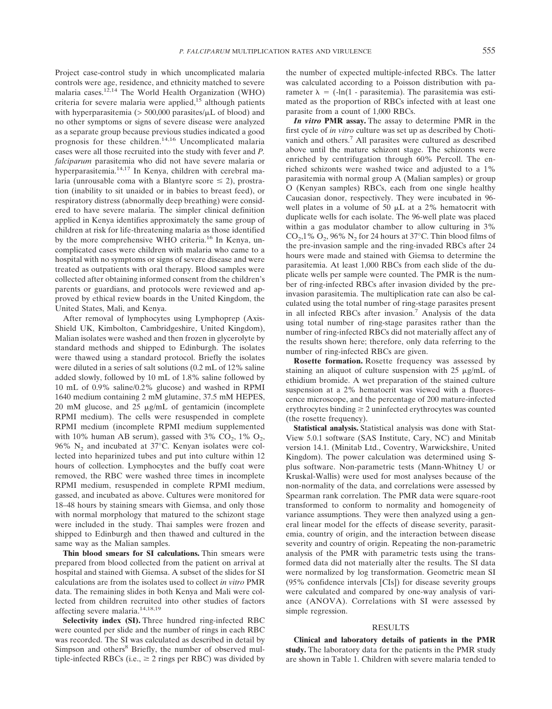Project case-control study in which uncomplicated malaria controls were age, residence, and ethnicity matched to severe malaria cases.12,14 The World Health Organization (WHO) criteria for severe malaria were applied, $15$  although patients with hyperparasitemia ( $> 500,000$  parasites/ $\mu$ L of blood) and no other symptoms or signs of severe disease were analyzed as a separate group because previous studies indicated a good prognosis for these children.14,16 Uncomplicated malaria cases were all those recruited into the study with fever and *P. falciparum* parasitemia who did not have severe malaria or hyperparasitemia.14,17 In Kenya, children with cerebral malaria (unrousable coma with a Blantyre score  $\leq$  2), prostration (inability to sit unaided or in babies to breast feed), or respiratory distress (abnormally deep breathing) were considered to have severe malaria. The simpler clinical definition applied in Kenya identifies approximately the same group of children at risk for life-threatening malaria as those identified by the more comprehensive WHO criteria.<sup>16</sup> In Kenya, uncomplicated cases were children with malaria who came to a hospital with no symptoms or signs of severe disease and were treated as outpatients with oral therapy. Blood samples were collected after obtaining informed consent from the children's parents or guardians, and protocols were reviewed and approved by ethical review boards in the United Kingdom, the United States, Mali, and Kenya.

After removal of lymphocytes using Lymphoprep (Axis-Shield UK, Kimbolton, Cambridgeshire, United Kingdom), Malian isolates were washed and then frozen in glycerolyte by standard methods and shipped to Edinburgh. The isolates were thawed using a standard protocol. Briefly the isolates were diluted in a series of salt solutions (0.2 mL of 12% saline added slowly, followed by 10 mL of 1.8% saline followed by 10 mL of 0.9% saline/0.2% glucose) and washed in RPMI 1640 medium containing 2 mM glutamine, 37.5 mM HEPES,  $20 \text{ mM glucose}, \text{ and } 25 \text{ µg/mL}$  of gentamicin (incomplete RPMI medium). The cells were resuspended in complete RPMI medium (incomplete RPMI medium supplemented with 10% human AB serum), gassed with 3%  $CO<sub>2</sub>$ , 1%  $O<sub>2</sub>$ , 96%  $N_2$  and incubated at 37°C. Kenyan isolates were collected into heparinized tubes and put into culture within 12 hours of collection. Lymphocytes and the buffy coat were removed, the RBC were washed three times in incomplete RPMI medium, resuspended in complete RPMI medium, gassed, and incubated as above. Cultures were monitored for 18–48 hours by staining smears with Giemsa, and only those with normal morphology that matured to the schizont stage were included in the study. Thai samples were frozen and shipped to Edinburgh and then thawed and cultured in the same way as the Malian samples.

**Thin blood smears for SI calculations.** Thin smears were prepared from blood collected from the patient on arrival at hospital and stained with Giemsa. A subset of the slides for SI calculations are from the isolates used to collect *in vitro* PMR data. The remaining slides in both Kenya and Mali were collected from children recruited into other studies of factors affecting severe malaria.14,18,19

**Selectivity index (SI).** Three hundred ring-infected RBC were counted per slide and the number of rings in each RBC was recorded. The SI was calculated as described in detail by Simpson and others<sup>8</sup> Briefly, the number of observed multiple-infected RBCs (i.e.,  $\geq$  2 rings per RBC) was divided by

the number of expected multiple-infected RBCs. The latter was calculated according to a Poisson distribution with parameter  $\lambda = (-\ln(1 - \text{parasitemia})$ . The parasitemia was estimated as the proportion of RBCs infected with at least one parasite from a count of 1,000 RBCs.

*In vitro* **PMR assay.** The assay to determine PMR in the first cycle of *in vitro* culture was set up as described by Chotivanich and others.<sup>7</sup> All parasites were cultured as described above until the mature schizont stage. The schizonts were enriched by centrifugation through 60% Percoll. The enriched schizonts were washed twice and adjusted to a 1% parasitemia with normal group A (Malian samples) or group O (Kenyan samples) RBCs, each from one single healthy Caucasian donor, respectively. They were incubated in 96 well plates in a volume of 50  $\mu$ L at a 2% hematocrit with duplicate wells for each isolate. The 96-well plate was placed within a gas modulator chamber to allow culturing in  $3\%$  $CO<sub>2</sub>,1% O<sub>2</sub>, 96% N<sub>2</sub>$  for 24 hours at 37°C. Thin blood films of the pre-invasion sample and the ring-invaded RBCs after 24 hours were made and stained with Giemsa to determine the parasitemia. At least 1,000 RBCs from each slide of the duplicate wells per sample were counted. The PMR is the number of ring-infected RBCs after invasion divided by the preinvasion parasitemia. The multiplication rate can also be calculated using the total number of ring-stage parasites present in all infected RBCs after invasion.7 Analysis of the data using total number of ring-stage parasites rather than the number of ring-infected RBCs did not materially affect any of the results shown here; therefore, only data referring to the number of ring-infected RBCs are given.

**Rosette formation.** Rosette frequency was assessed by staining an aliquot of culture suspension with  $25 \mu$ g/mL of ethidium bromide. A wet preparation of the stained culture suspension at a 2% hematocrit was viewed with a fluorescence microscope, and the percentage of 200 mature-infected erythrocytes binding  $\geq 2$  uninfected erythrocytes was counted (the rosette frequency).

**Statistical analysis.** Statistical analysis was done with Stat-View 5.0.1 software (SAS Institute, Cary, NC) and Minitab version 14.1. (Minitab Ltd., Coventry, Warwickshire, United Kingdom). The power calculation was determined using Splus software. Non-parametric tests (Mann-Whitney U or Kruskal-Wallis) were used for most analyses because of the non-normality of the data, and correlations were assessed by Spearman rank correlation. The PMR data were square-root transformed to conform to normality and homogeneity of variance assumptions. They were then analyzed using a general linear model for the effects of disease severity, parasitemia, country of origin, and the interaction between disease severity and country of origin. Repeating the non-parametric analysis of the PMR with parametric tests using the transformed data did not materially alter the results. The SI data were normalized by log transformation. Geometric mean SI (95% confidence intervals [CIs]) for disease severity groups were calculated and compared by one-way analysis of variance (ANOVA). Correlations with SI were assessed by simple regression.

### RESULTS

**Clinical and laboratory details of patients in the PMR study.** The laboratory data for the patients in the PMR study are shown in Table 1. Children with severe malaria tended to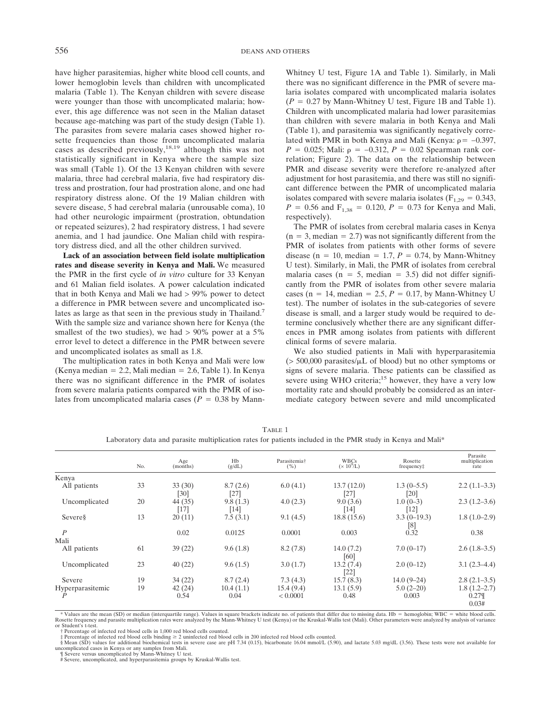have higher parasitemias, higher white blood cell counts, and lower hemoglobin levels than children with uncomplicated malaria (Table 1). The Kenyan children with severe disease were younger than those with uncomplicated malaria; however, this age difference was not seen in the Malian dataset because age-matching was part of the study design (Table 1). The parasites from severe malaria cases showed higher rosette frequencies than those from uncomplicated malaria cases as described previously,<sup>18,19</sup> although this was not statistically significant in Kenya where the sample size was small (Table 1). Of the 13 Kenyan children with severe malaria, three had cerebral malaria, five had respiratory distress and prostration, four had prostration alone, and one had respiratory distress alone. Of the 19 Malian children with severe disease, 5 had cerebral malaria (unrousable coma), 10 had other neurologic impairment (prostration, obtundation or repeated seizures), 2 had respiratory distress, 1 had severe anemia, and 1 had jaundice. One Malian child with respiratory distress died, and all the other children survived.

**Lack of an association between field isolate multiplication rates and disease severity in Kenya and Mali.** We measured the PMR in the first cycle of *in vitro* culture for 33 Kenyan and 61 Malian field isolates. A power calculation indicated that in both Kenya and Mali we had > 99% power to detect a difference in PMR between severe and uncomplicated isolates as large as that seen in the previous study in Thailand.<sup>7</sup> With the sample size and variance shown here for Kenya (the smallest of the two studies), we had > 90% power at a 5% error level to detect a difference in the PMR between severe and uncomplicated isolates as small as 1.8.

The multiplication rates in both Kenya and Mali were low (Kenya median  $= 2.2$ , Mali median  $= 2.6$ , Table 1). In Kenya there was no significant difference in the PMR of isolates from severe malaria patients compared with the PMR of isolates from uncomplicated malaria cases ( $P = 0.38$  by Mann-

Whitney U test, Figure 1A and Table 1). Similarly, in Mali there was no significant difference in the PMR of severe malaria isolates compared with uncomplicated malaria isolates  $(P = 0.27$  by Mann-Whitney U test, Figure 1B and Table 1). Children with uncomplicated malaria had lower parasitemias than children with severe malaria in both Kenya and Mali (Table 1), and parasitemia was significantly negatively correlated with PMR in both Kenya and Mali (Kenya:  $\rho = -0.397$ , *P* = 0.025; Mali:  $\rho = -0.312$ , *P* = 0.02 Spearman rank correlation; Figure 2). The data on the relationship between PMR and disease severity were therefore re-analyzed after adjustment for host parasitemia, and there was still no significant difference between the PMR of uncomplicated malaria isolates compared with severe malaria isolates ( $F_{1,29} = 0.343$ ,  $P = 0.56$  and  $F_{1,38} = 0.120$ ,  $P = 0.73$  for Kenya and Mali, respectively).

The PMR of isolates from cerebral malaria cases in Kenya  $(n = 3, \text{median} = 2.7)$  was not significantly different from the PMR of isolates from patients with other forms of severe disease ( $n = 10$ , median = 1.7,  $P = 0.74$ , by Mann-Whitney U test). Similarly, in Mali, the PMR of isolates from cerebral malaria cases ( $n = 5$ , median = 3.5) did not differ significantly from the PMR of isolates from other severe malaria cases (n = 14, median = 2.5,  $P = 0.17$ , by Mann-Whitney U test). The number of isolates in the sub-categories of severe disease is small, and a larger study would be required to determine conclusively whether there are any significant differences in PMR among isolates from patients with different clinical forms of severe malaria.

We also studied patients in Mali with hyperparasitemia  $(> 500,000$  parasites/ $\mu$ L of blood) but no other symptoms or signs of severe malaria. These patients can be classified as severe using WHO criteria;<sup>15</sup> however, they have a very low mortality rate and should probably be considered as an intermediate category between severe and mild uncomplicated

|                  | No. | Age<br>(months)   | Hb<br>(g/dL)       | Parasitemia†<br>( %) | <b>WBCs</b><br>$(x 10^9/L)$ | Rosette<br>frequency <sup>±</sup> | Parasite<br>multiplication<br>rate |
|------------------|-----|-------------------|--------------------|----------------------|-----------------------------|-----------------------------------|------------------------------------|
| Kenya            |     |                   |                    |                      |                             |                                   |                                    |
| All patients     | 33  | 33(30)<br>$[30]$  | 8.7(2.6)<br>$[27]$ | 6.0(4.1)             | 13.7(12.0)<br>$[27]$        | $1.3(0-5.5)$<br>[20]              | $2.2(1.1-3.3)$                     |
| Uncomplicated    | 20  | 44 (35)<br>$[17]$ | 9.8(1.3)<br>[14]   | 4.0(2.3)             | 9.0(3.6)<br>$[14]$          | $1.0(0-3)$<br>$[12]$              | $2.3(1.2-3.6)$                     |
| Severes          | 13  | 20(11)            | 7.5(3.1)           | 9.1(4.5)             | 18.8(15.6)                  | $3.3(0-19.3)$<br>[8]              | $1.8(1.0-2.9)$                     |
| $\overline{P}$   |     | 0.02              | 0.0125             | 0.0001               | 0.003                       | 0.32                              | 0.38                               |
| Mali             |     |                   |                    |                      |                             |                                   |                                    |
| All patients     | 61  | 39(22)            | 9.6(1.8)           | 8.2(7.8)             | 14.0(7.2)<br>[60]           | $7.0(0-17)$                       | $2.6(1.8-3.5)$                     |
| Uncomplicated    | 23  | 40(22)            | 9.6(1.5)           | 3.0(1.7)             | 13.2(7.4)<br>[22]           | $2.0(0-12)$                       | $3.1(2.3-4.4)$                     |
| Severe           | 19  | 34(22)            | 8.7(2.4)           | 7.3(4.3)             | 15.7(8.3)                   | $14.0(9-24)$                      | $2.8(2.1-3.5)$                     |
| Hyperparasitemic | 19  | 42(24)            | 10.4(1.1)          | 15.4(9.4)            | 13.1(5.9)                   | $5.0(2-20)$                       | $1.8(1.2 - 2.7)$                   |
|                  |     | 0.54              | 0.04               | < 0.0001             | 0.48                        | 0.003                             | 0.27<br>0.03#                      |

TABLE 1 Laboratory data and parasite multiplication rates for patients included in the PMR study in Kenya and Mali\*

Values are the mean (SD) or median (interquartile range). Values in square brackets indicate no. of patients that differ due to missing data. Hb = hemoglobin; WBC = white blood cells.<br>Rosette frequency and parasite multipl or Student's t-test.

† Percentage of infected red blood cells in 1,000 red blood cells counted.<br>‡ Percentage of infected red blood cells binding ≥ 2 uninfected red blood cells in 200 infected red blood cells counted.

§ Mean (SD) values for additional biochemical tests in severe case are pH 7.34 (0.15), bicarbonate 16.04 mmol/L (5.90), and lactate 5.03 mg/dL (3.56). These tests were not available for uncomplicated cases in Kenya or any samples from Mali. ¶ Severe versus uncomplicated by Mann-Whitney U test.

# Severe, uncomplicated, and hyperparasitemia groups by Kruskal-Wallis test.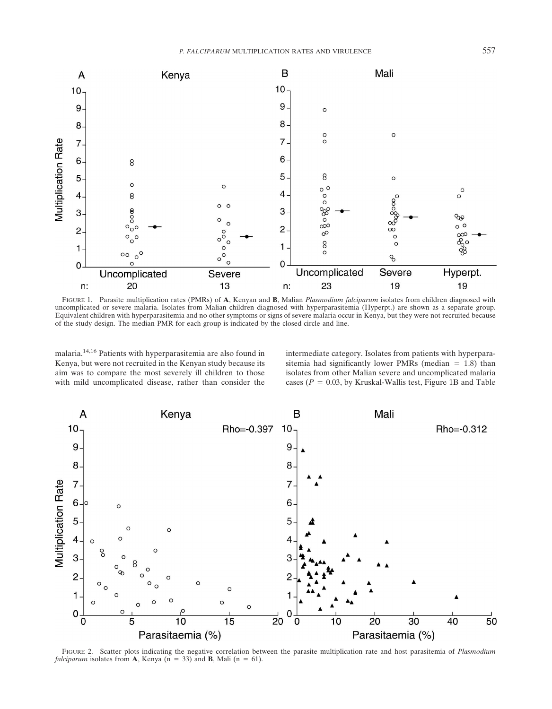

FIGURE 1. Parasite multiplication rates (PMRs) of **A**, Kenyan and **B**, Malian *Plasmodium falciparum* isolates from children diagnosed with uncomplicated or severe malaria. Isolates from Malian children diagnosed with hyperparasitemia (Hyperpt.) are shown as a separate group. Equivalent children with hyperparasitemia and no other symptoms or signs of severe malaria occur in Kenya, but they were not recruited because of the study design. The median PMR for each group is indicated by the closed circle and line.

malaria.14,16 Patients with hyperparasitemia are also found in Kenya, but were not recruited in the Kenyan study because its aim was to compare the most severely ill children to those with mild uncomplicated disease, rather than consider the

intermediate category. Isolates from patients with hyperparasitemia had significantly lower PMRs (median  $= 1.8$ ) than isolates from other Malian severe and uncomplicated malaria cases ( $P = 0.03$ , by Kruskal-Wallis test, Figure 1B and Table



FIGURE 2. Scatter plots indicating the negative correlation between the parasite multiplication rate and host parasitemia of *Plasmodium falciparum* isolates from **A**, Kenya ( $n = 33$ ) and **B**, Mali ( $n = 61$ ).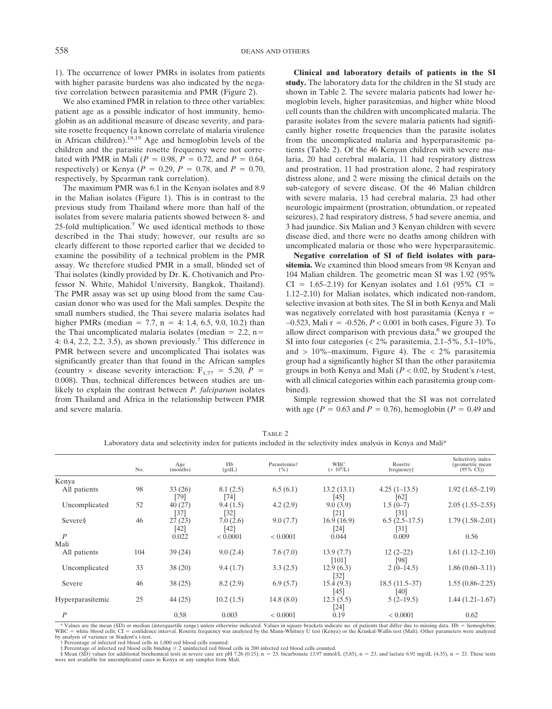1). The occurrence of lower PMRs in isolates from patients with higher parasite burdens was also indicated by the negative correlation between parasitemia and PMR (Figure 2).

We also examined PMR in relation to three other variables: patient age as a possible indicator of host immunity, hemoglobin as an additional measure of disease severity, and parasite rosette frequency (a known correlate of malaria virulence in African children).<sup>18,19</sup> Age and hemoglobin levels of the children and the parasite rosette frequency were not correlated with PMR in Mali ( $P = 0.98$ ,  $P = 0.72$ , and  $P = 0.64$ , respectively) or Kenya ( $P = 0.29$ ,  $P = 0.78$ , and  $P = 0.70$ , respectively, by Spearman rank correlation).

The maximum PMR was 6.1 in the Kenyan isolates and 8.9 in the Malian isolates (Figure 1). This is in contrast to the previous study from Thailand where more than half of the isolates from severe malaria patients showed between 8- and 25-fold multiplication.7 We used identical methods to those described in the Thai study; however, our results are so clearly different to those reported earlier that we decided to examine the possibility of a technical problem in the PMR assay. We therefore studied PMR in a small, blinded set of Thai isolates (kindly provided by Dr. K. Chotivanich and Professor N. White, Mahidol University, Bangkok, Thailand). The PMR assay was set up using blood from the same Caucasian donor who was used for the Mali samples. Despite the small numbers studied, the Thai severe malaria isolates had higher PMRs (median = 7.7, n = 4: 1.4, 6.5, 9.0, 10.2) than the Thai uncomplicated malaria isolates (median  $= 2.2$ , n= 4: 0.4, 2.2, 2.2, 3.5), as shown previously.<sup>7</sup> This difference in PMR between severe and uncomplicated Thai isolates was significantly greater than that found in the African samples (country  $\times$  disease severity interaction:  $F_{1,77} = 5.20$ ,  $P =$ 0.008). Thus, technical differences between studies are unlikely to explain the contrast between *P. falciparum* isolates from Thailand and Africa in the relationship between PMR and severe malaria.

**Clinical and laboratory details of patients in the SI study.** The laboratory data for the children in the SI study are shown in Table 2. The severe malaria patients had lower hemoglobin levels, higher parasitemias, and higher white blood cell counts than the children with uncomplicated malaria. The parasite isolates from the severe malaria patients had significantly higher rosette frequencies than the parasite isolates from the uncomplicated malaria and hyperparasitemic patients (Table 2). Of the 46 Kenyan children with severe malaria, 20 had cerebral malaria, 11 had respiratory distress and prostration, 11 had prostration alone, 2 had respiratory distress alone, and 2 were missing the clinical details on the sub-category of severe disease. Of the 46 Malian children with severe malaria, 13 had cerebral malaria, 23 had other neurologic impairment (prostration, obtundation, or repeated seizures), 2 had respiratory distress, 5 had severe anemia, and 3 had jaundice. Six Malian and 3 Kenyan children with severe disease died, and there were no deaths among children with uncomplicated malaria or those who were hyperparasitemic.

**Negative correlation of SI of field isolates with parasitemia.** We examined thin blood smears from 98 Kenyan and 104 Malian children. The geometric mean SI was 1.92 (95%  $CI = 1.65-2.19$ ) for Kenyan isolates and 1.61 (95% CI = 1.12–2.10) for Malian isolates, which indicated non-random, selective invasion at both sites. The SI in both Kenya and Mali was negatively correlated with host parasitamia (Kenya  $r =$ −0.523, Mali r = −0.526, *P* < 0.001 in both cases, Figure 3). To allow direct comparison with previous data, $8$  we grouped the SI into four categories (< 2% parasitemia, 2.1–5%, 5.1–10%, and  $> 10\%$ -maximum, Figure 4). The  $< 2\%$  parasitemia group had a significantly higher SI than the other parasitemia groups in both Kenya and Mali (*P* < 0.02, by Student's *t*-test, with all clinical categories within each parasitemia group combined).

Simple regression showed that the SI was not correlated with age ( $P = 0.63$  and  $P = 0.76$ ), hemoglobin ( $P = 0.49$  and

|                  | No. | Age<br>(months)  | Hb<br>(g/dL)       | Parasitemia <sup>+</sup><br>(%) | <b>WBC</b><br>$(x 10^9/L)$ | Rosette<br>frequency#  | Selectivity index<br>(geometric mean<br>$(95\% \text{ CI})$ |
|------------------|-----|------------------|--------------------|---------------------------------|----------------------------|------------------------|-------------------------------------------------------------|
|                  |     |                  |                    |                                 |                            |                        |                                                             |
| Kenya            |     |                  |                    |                                 |                            |                        |                                                             |
| All patients     | 98  | 33(26)<br>$[79]$ | 8.1(2.5)<br>$[74]$ | 6.5(6.1)                        | 13.2(13.1)<br>[45]         | $4.25(1-13.5)$<br>[62] | $1.92(1.65 - 2.19)$                                         |
| Uncomplicated    | 52  | 40(27)           | 9.4(1.5)           | 4.2(2.9)                        | 9.0(3.9)                   | $1.5(0-7)$             | $2.05(1.55-2.55)$                                           |
|                  |     | $[37]$           | $[32]$             |                                 | $\left[ 21\right]$         | $[31]$                 |                                                             |
| Severes          | 46  | 27(23)           | 7.0(2.6)           | 9.0(7.7)                        | 16.9(16.9)                 | $6.5(2.5-17.5)$        | $1.79(1.58-2.01)$                                           |
|                  |     | [42]             | [42]               |                                 | $\lceil 24 \rceil$         | [31]                   |                                                             |
| $\overline{P}$   |     | 0.022            | < 0.0001           | < 0.0001                        | 0.044                      | 0.009                  | 0.56                                                        |
| Mali             |     |                  |                    |                                 |                            |                        |                                                             |
| All patients     | 104 | 39(24)           | 9.0(2.4)           | 7.6(7.0)                        | 13.9(7.7)                  | $12(2-22)$             | $1.61(1.12 - 2.10)$                                         |
|                  |     |                  |                    |                                 | [101]                      | [98]                   |                                                             |
| Uncomplicated    | 33  | 38(20)           | 9.4(1.7)           | 3.3(2.5)                        | 12.9(6.3)                  | $2(0-14.5)$            | $1.86(0.60-3.11)$                                           |
|                  |     |                  |                    |                                 | [32]                       |                        |                                                             |
| Severe           | 46  | 38(25)           | 8.2(2.9)           | 6.9(5.7)                        | 15.4(9.3)                  | $18.5(11.5-37)$        | $1.55(0.86-2.25)$                                           |
|                  |     |                  |                    |                                 | [45]                       | $[40]$                 |                                                             |
| Hyperparasitemic | 25  | 44(25)           | 10.2(1.5)          | 14.8 $(8.0)$                    | 12.3(5.5)                  | $5(2-19.5)$            | $1.44(1.21-1.67)$                                           |
|                  |     |                  |                    |                                 | $[24]$                     |                        |                                                             |
| $\boldsymbol{P}$ |     | 0.58             | 0.003              | < 0.0001                        | 0.19                       | < 0.0001               | 0.62                                                        |

TABLE 2 Laboratory data and selectivity index for patients included in the selectivity index analysis in Kenya and Mali\*

\* Values are the mean (SD) or median (interquartile range) unless otherwise indicated. Values in square brackets indicate no. of patients that differ due to missing data. Hb = hemoglobin; WBC = white blood cells; CI = confidence interval. Rosette frequency was analyzed by the Mann-Whitney U test (Kenya) or the Kruskal-Wallis test (Mali). Other parameters were analyzed<br>by analysis of variance or Student's t-

† Percentage of infected red blood cells in 1,000 red blood cells counted.

‡ Percentage of infected red blood cells binding ≥ 2 uninfected red blood cells in 200 infected red blood cells counted.<br>§ Mean (SD) values for additional biochemical tests in severe case are pH 7.26 (0.15), n = 23, bicar were not available for uncomplicated cases in Kenya or any samples from Mali.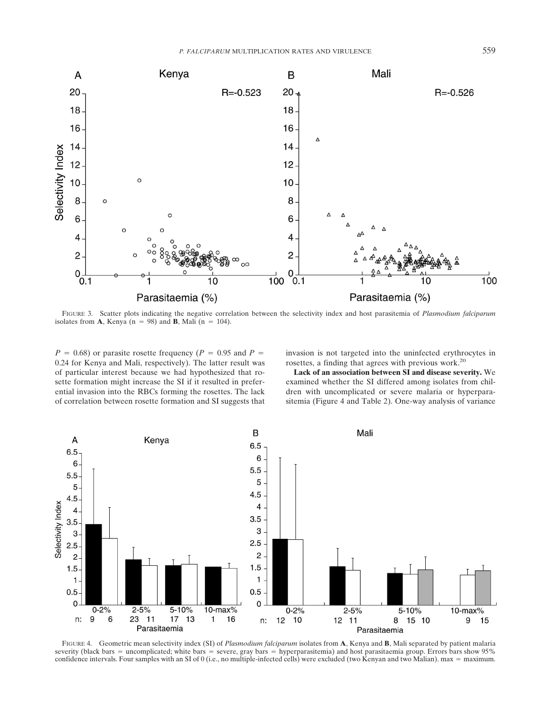

FIGURE 3. Scatter plots indicating the negative correlation between the selectivity index and host parasitemia of *Plasmodium falciparum* isolates from **A**, Kenya  $(n = 98)$  and **B**, Mali  $(n = 104)$ .

 $P = 0.68$ ) or parasite rosette frequency ( $P = 0.95$  and  $P =$ 0.24 for Kenya and Mali, respectively). The latter result was of particular interest because we had hypothesized that rosette formation might increase the SI if it resulted in preferential invasion into the RBCs forming the rosettes. The lack of correlation between rosette formation and SI suggests that invasion is not targeted into the uninfected erythrocytes in rosettes, a finding that agrees with previous work.20

**Lack of an association between SI and disease severity.** We examined whether the SI differed among isolates from children with uncomplicated or severe malaria or hyperparasitemia (Figure 4 and Table 2). One-way analysis of variance



FIGURE 4. Geometric mean selectivity index (SI) of *Plasmodium falciparum* isolates from **A**, Kenya and **B**, Mali separated by patient malaria severity (black bars = uncomplicated; white bars = severe, gray bars = hyperparasitemia) and host parasitaemia group. Errors bars show 95% confidence intervals. Four samples with an SI of 0 (i.e., no multiple-infected cells) were excluded (two Kenyan and two Malian). max = maximum.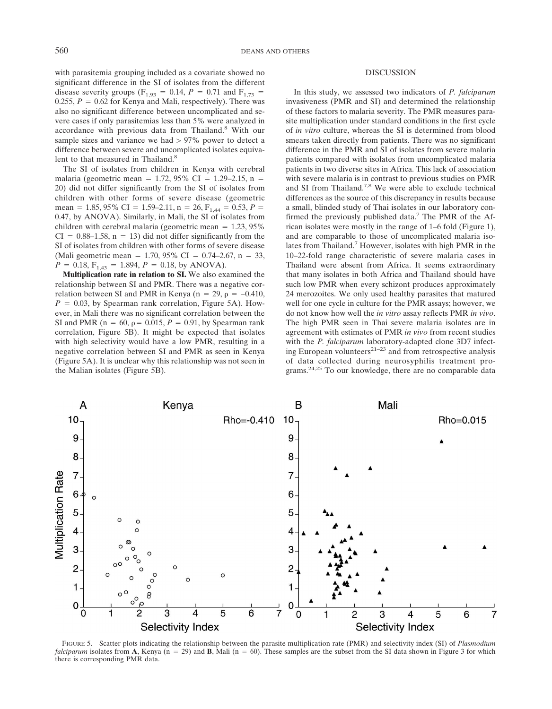with parasitemia grouping included as a covariate showed no significant difference in the SI of isolates from the different disease severity groups ( $F_{1,93} = 0.14$ ,  $P = 0.71$  and  $F_{1,73} =$ 0.255,  $P = 0.62$  for Kenya and Mali, respectively). There was also no significant difference between uncomplicated and severe cases if only parasitemias less than 5% were analyzed in accordance with previous data from Thailand.<sup>8</sup> With our sample sizes and variance we had > 97% power to detect a difference between severe and uncomplicated isolates equivalent to that measured in Thailand.<sup>8</sup>

The SI of isolates from children in Kenya with cerebral malaria (geometric mean = 1.72, 95% CI = 1.29–2.15, n = 20) did not differ significantly from the SI of isolates from children with other forms of severe disease (geometric mean = 1.85, 95% CI = 1.59–2.11, n = 26,  $F_{1,44}$  = 0.53, P = 0.47, by ANOVA). Similarly, in Mali, the SI of isolates from children with cerebral malaria (geometric mean  $= 1.23, 95\%$  $CI = 0.88{\text -}1.58$ ,  $n = 13$ ) did not differ significantly from the SI of isolates from children with other forms of severe disease (Mali geometric mean = 1.70, 95% CI = 0.74–2.67, n = 33,  $P = 0.18$ ,  $F_{1,43} = 1.894$ ,  $P = 0.18$ , by ANOVA).

**Multiplication rate in relation to SI.** We also examined the relationship between SI and PMR. There was a negative correlation between SI and PMR in Kenya (n = 29,  $\rho = -0.410$ ,  $P = 0.03$ , by Spearman rank correlation, Figure 5A). However, in Mali there was no significant correlation between the SI and PMR ( $n = 60$ ,  $\rho = 0.015$ ,  $P = 0.91$ , by Spearman rank correlation, Figure 5B). It might be expected that isolates with high selectivity would have a low PMR, resulting in a negative correlation between SI and PMR as seen in Kenya (Figure 5A). It is unclear why this relationship was not seen in the Malian isolates (Figure 5B).

## DISCUSSION

In this study, we assessed two indicators of *P. falciparum* invasiveness (PMR and SI) and determined the relationship of these factors to malaria severity. The PMR measures parasite multiplication under standard conditions in the first cycle of *in vitro* culture, whereas the SI is determined from blood smears taken directly from patients. There was no significant difference in the PMR and SI of isolates from severe malaria patients compared with isolates from uncomplicated malaria patients in two diverse sites in Africa. This lack of association with severe malaria is in contrast to previous studies on PMR and SI from Thailand.<sup>7,8</sup> We were able to exclude technical differences as the source of this discrepancy in results because a small, blinded study of Thai isolates in our laboratory confirmed the previously published data.<sup>7</sup> The PMR of the African isolates were mostly in the range of 1–6 fold (Figure 1), and are comparable to those of uncomplicated malaria isolates from Thailand.<sup>7</sup> However, isolates with high PMR in the 10–22-fold range characteristic of severe malaria cases in Thailand were absent from Africa. It seems extraordinary that many isolates in both Africa and Thailand should have such low PMR when every schizont produces approximately 24 merozoites. We only used healthy parasites that matured well for one cycle in culture for the PMR assays; however, we do not know how well the *in vitro* assay reflects PMR *in vivo*. The high PMR seen in Thai severe malaria isolates are in agreement with estimates of PMR *in vivo* from recent studies with the *P. falciparum* laboratory-adapted clone 3D7 infecting European volunteers<sup>21–23</sup> and from retrospective analysis of data collected during neurosyphilis treatment programs.24,25 To our knowledge, there are no comparable data



FIGURE 5. Scatter plots indicating the relationship between the parasite multiplication rate (PMR) and selectivity index (SI) of *Plasmodium falciparum* isolates from **A**, Kenya ( $n = 29$ ) and **B**, Mali ( $n = 60$ ). These samples are the subset from the SI data shown in Figure 3 for which there is corresponding PMR data.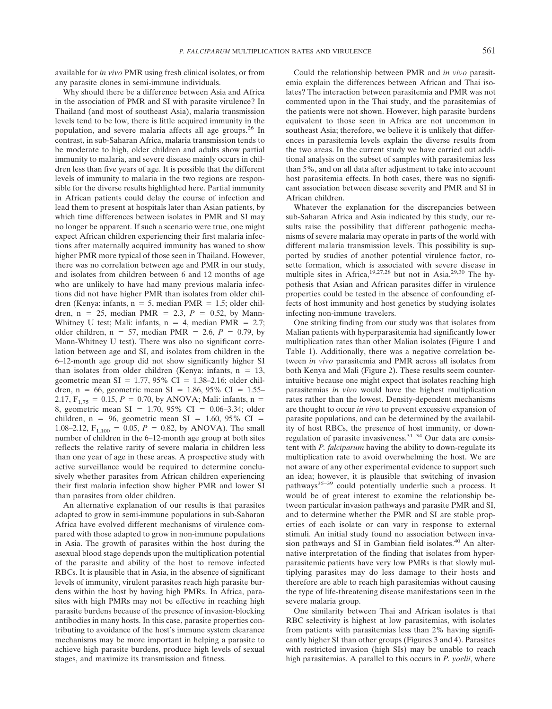available for *in vivo* PMR using fresh clinical isolates, or from any parasite clones in semi-immune individuals.

Why should there be a difference between Asia and Africa in the association of PMR and SI with parasite virulence? In Thailand (and most of southeast Asia), malaria transmission levels tend to be low, there is little acquired immunity in the population, and severe malaria affects all age groups.26 In contrast, in sub-Saharan Africa, malaria transmission tends to be moderate to high, older children and adults show partial immunity to malaria, and severe disease mainly occurs in children less than five years of age. It is possible that the different levels of immunity to malaria in the two regions are responsible for the diverse results highlighted here. Partial immunity in African patients could delay the course of infection and lead them to present at hospitals later than Asian patients, by which time differences between isolates in PMR and SI may no longer be apparent. If such a scenario were true, one might expect African children experiencing their first malaria infections after maternally acquired immunity has waned to show higher PMR more typical of those seen in Thailand. However, there was no correlation between age and PMR in our study, and isolates from children between 6 and 12 months of age who are unlikely to have had many previous malaria infections did not have higher PMR than isolates from older children (Kenya: infants,  $n = 5$ , median PMR = 1.5; older children,  $n = 25$ , median PMR = 2.3,  $P = 0.52$ , by Mann-Whitney U test; Mali: infants,  $n = 4$ , median PMR = 2.7; older children,  $n = 57$ , median PMR = 2.6,  $P = 0.79$ , by Mann-Whitney U test). There was also no significant correlation between age and SI, and isolates from children in the 6–12-month age group did not show significantly higher SI than isolates from older children (Kenya: infants,  $n = 13$ , geometric mean SI = 1.77, 95% CI = 1.38–2.16; older children, n = 66, geometric mean SI = 1.86, 95% CI = 1.55– 2.17,  $F_{1,75} = 0.15$ ,  $P = 0.70$ , by ANOVA; Mali: infants, n = 8, geometric mean SI = 1.70, 95% CI =  $0.06-3.34$ ; older children, n = 96, geometric mean  $SI = 1.60, 95\% \text{ CI}$  = 1.08–2.12,  $F_{1,100} = 0.05$ ,  $P = 0.82$ , by ANOVA). The small number of children in the 6–12-month age group at both sites reflects the relative rarity of severe malaria in children less than one year of age in these areas. A prospective study with active surveillance would be required to determine conclusively whether parasites from African children experiencing their first malaria infection show higher PMR and lower SI than parasites from older children.

An alternative explanation of our results is that parasites adapted to grow in semi-immune populations in sub-Saharan Africa have evolved different mechanisms of virulence compared with those adapted to grow in non-immune populations in Asia. The growth of parasites within the host during the asexual blood stage depends upon the multiplication potential of the parasite and ability of the host to remove infected RBCs. It is plausible that in Asia, in the absence of significant levels of immunity, virulent parasites reach high parasite burdens within the host by having high PMRs. In Africa, parasites with high PMRs may not be effective in reaching high parasite burdens because of the presence of invasion-blocking antibodies in many hosts. In this case, parasite properties contributing to avoidance of the host's immune system clearance mechanisms may be more important in helping a parasite to achieve high parasite burdens, produce high levels of sexual stages, and maximize its transmission and fitness.

Could the relationship between PMR and *in vivo* parasitemia explain the differences between African and Thai isolates? The interaction between parasitemia and PMR was not commented upon in the Thai study, and the parasitemias of the patients were not shown. However, high parasite burdens equivalent to those seen in Africa are not uncommon in southeast Asia; therefore, we believe it is unlikely that differences in parasitemia levels explain the diverse results from the two areas. In the current study we have carried out additional analysis on the subset of samples with parasitemias less than 5%, and on all data after adjustment to take into account host parasitemia effects. In both cases, there was no significant association between disease severity and PMR and SI in African children.

Whatever the explanation for the discrepancies between sub-Saharan Africa and Asia indicated by this study, our results raise the possibility that different pathogenic mechanisms of severe malaria may operate in parts of the world with different malaria transmission levels. This possibility is supported by studies of another potential virulence factor, rosette formation, which is associated with severe disease in multiple sites in Africa,<sup>19,27,28</sup> but not in Asia.<sup>29,30</sup> The hypothesis that Asian and African parasites differ in virulence properties could be tested in the absence of confounding effects of host immunity and host genetics by studying isolates infecting non-immune travelers.

One striking finding from our study was that isolates from Malian patients with hyperparasitemia had significantly lower multiplication rates than other Malian isolates (Figure 1 and Table 1). Additionally, there was a negative correlation between *in vivo* parasitemia and PMR across all isolates from both Kenya and Mali (Figure 2). These results seem counterintuitive because one might expect that isolates reaching high parasitemias *in vivo* would have the highest multiplication rates rather than the lowest. Density-dependent mechanisms are thought to occur *in vivo* to prevent excessive expansion of parasite populations, and can be determined by the availability of host RBCs, the presence of host immunity, or downregulation of parasite invasiveness.31–34 Our data are consistent with *P. falciparum* having the ability to down-regulate its multiplication rate to avoid overwhelming the host. We are not aware of any other experimental evidence to support such an idea; however, it is plausible that switching of invasion pathways<sup>35–39</sup> could potentially underlie such a process. It would be of great interest to examine the relationship between particular invasion pathways and parasite PMR and SI, and to determine whether the PMR and SI are stable properties of each isolate or can vary in response to external stimuli. An initial study found no association between invasion pathways and SI in Gambian field isolates.<sup>40</sup> An alternative interpretation of the finding that isolates from hyperparasitemic patients have very low PMRs is that slowly multiplying parasites may do less damage to their hosts and therefore are able to reach high parasitemias without causing the type of life-threatening disease manifestations seen in the severe malaria group.

One similarity between Thai and African isolates is that RBC selectivity is highest at low parasitemias, with isolates from patients with parasitemias less than 2% having significantly higher SI than other groups (Figures 3 and 4). Parasites with restricted invasion (high SIs) may be unable to reach high parasitemias. A parallel to this occurs in *P. yoelii*, where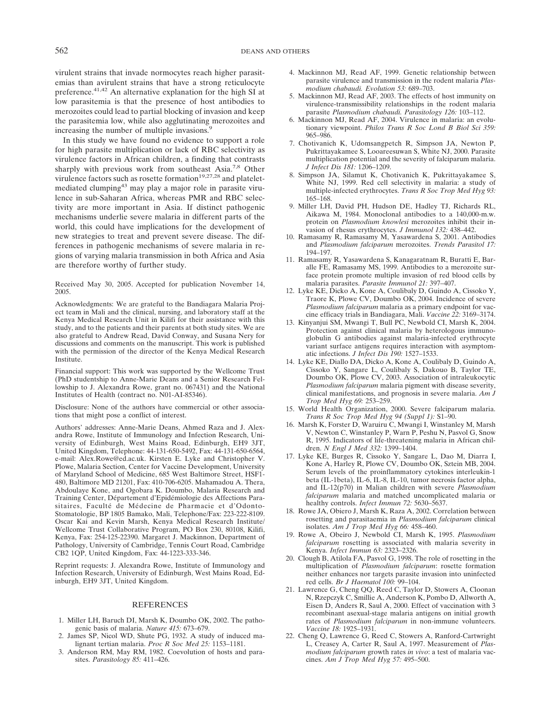virulent strains that invade normocytes reach higher parasitemias than avirulent strains that have a strong reticulocyte preference.41,42 An alternative explanation for the high SI at low parasitemia is that the presence of host antibodies to merozoites could lead to partial blocking of invasion and keep the parasitemia low, while also agglutinating merozoites and increasing the number of multiple invasions.<sup>9</sup>

In this study we have found no evidence to support a role for high parasite multiplication or lack of RBC selectivity as virulence factors in African children, a finding that contrasts sharply with previous work from southeast Asia.<sup>7,8</sup> Other virulence factors such as rosette formation $19,27,28$  and plateletmediated clumping43 may play a major role in parasite virulence in sub-Saharan Africa, whereas PMR and RBC selectivity are more important in Asia. If distinct pathogenic mechanisms underlie severe malaria in different parts of the world, this could have implications for the development of new strategies to treat and prevent severe disease. The differences in pathogenic mechanisms of severe malaria in regions of varying malaria transmission in both Africa and Asia are therefore worthy of further study.

Received May 30, 2005. Accepted for publication November 14, 2005.

Acknowledgments: We are grateful to the Bandiagara Malaria Project team in Mali and the clinical, nursing, and laboratory staff at the Kenya Medical Research Unit in Kilifi for their assistance with this study, and to the patients and their parents at both study sites. We are also grateful to Andrew Read, David Conway, and Susana Nery for discussions and comments on the manuscript. This work is published with the permission of the director of the Kenya Medical Research Institute.

Financial support: This work was supported by the Wellcome Trust (PhD studentship to Anne-Marie Deans and a Senior Research Fellowship to J. Alexandra Rowe, grant no. 067431) and the National Institutes of Health (contract no. N01-AI-85346).

Disclosure: None of the authors have commercial or other associations that might pose a conflict of interest.

Authors' addresses: Anne-Marie Deans, Ahmed Raza and J. Alexandra Rowe, Institute of Immunology and Infection Research, University of Edinburgh, West Mains Road, Edinburgh, EH9 3JT, United Kingdom, Telephone: 44-131-650-5492, Fax: 44-131-650-6564, e-mail: Alex.Rowe@ed.ac.uk. Kirsten E. Lyke and Christopher V. Plowe, Malaria Section, Center for Vaccine Development, University of Maryland School of Medicine, 685 West Baltimore Street, HSF1- 480, Baltimore MD 21201, Fax: 410-706-6205. Mahamadou A. Thera, Abdoulaye Kone, and Ogobara K. Doumbo, Malaria Research and Training Center, Département d'Epidémiologie des Affections Parasitaires, Faculté de Médecine de Pharmacie et d'Odonto-Stomatologie, BP 1805 Bamako, Mali, Telephone/Fax: 223-222-8109. Oscar Kai and Kevin Marsh, Kenya Medical Research Institute/ Wellcome Trust Collaborative Program, PO Box 230, 80108, Kilifi, Kenya, Fax: 254-125-22390. Margaret J. Mackinnon, Department of Pathology, University of Cambridge, Tennis Court Road, Cambridge CB2 1QP, United Kingdom, Fax: 44-1223-333-346.

Reprint requests: J. Alexandra Rowe, Institute of Immunology and Infection Research, University of Edinburgh, West Mains Road, Edinburgh, EH9 3JT, United Kingdom.

#### **REFERENCES**

- 1. Miller LH, Baruch DI, Marsh K, Doumbo OK, 2002. The pathogenic basis of malaria. *Nature 415:* 673–679.
- 2. James SP, Nicol WD, Shute PG, 1932. A study of induced malignant tertian malaria. *Proc R Soc Med 25:* 1153–1181.
- 3. Anderson RM, May RM, 1982. Coevolution of hosts and parasites. *Parasitology 85:* 411–426.
- 4. Mackinnon MJ, Read AF, 1999. Genetic relationship between parasite virulence and transmission in the rodent malaria *Plasmodium chabaudi. Evolution 53:* 689–703.
- 5. Mackinnon MJ, Read AF, 2003. The effects of host immunity on virulence-transmissibility relationships in the rodent malaria parasite *Plasmodium chabaudi. Parasitology 126:* 103–112.
- 6. Mackinnon MJ, Read AF, 2004. Virulence in malaria: an evolutionary viewpoint. *Philos Trans R Soc Lond B Biol Sci 359:* 965–986.
- 7. Chotivanich K, Udomsangpetch R, Simpson JA, Newton P, Pukrittayakamee S, Looareesuwan S, White NJ, 2000. Parasite multiplication potential and the severity of falciparum malaria. *J Infect Dis 181:* 1206–1209.
- 8. Simpson JA, Silamut K, Chotivanich K, Pukrittayakamee S, White NJ, 1999. Red cell selectivity in malaria: a study of multiple-infected erythrocytes. *Trans R Soc Trop Med Hyg 93:* 165–168.
- 9. Miller LH, David PH, Hudson DE, Hadley TJ, Richards RL, Aikawa M, 1984. Monoclonal antibodies to a 140,000-m.w. protein on *Plasmodium knowlesi* merozoites inhibit their invasion of rhesus erythrocytes. *J Immunol 132:* 438–442.
- 10. Ramasamy R, Ramasamy M, Yasawardena S, 2001. Antibodies and *Plasmodium falciparum* merozoites. *Trends Parasitol 17:* 194–197.
- 11. Ramasamy R, Yasawardena S, Kanagaratnam R, Buratti E, Baralle FE, Ramasamy MS, 1999. Antibodies to a merozoite surface protein promote multiple invasion of red blood cells by malaria parasites. *Parasite Immunol 21:* 397–407.
- 12. Lyke KE, Dicko A, Kone A, Coulibaly D, Guindo A, Cissoko Y, Traore K, Plowe CV, Doumbo OK, 2004. Incidence of severe *Plasmodium falciparum* malaria as a primary endpoint for vaccine efficacy trials in Bandiagara, Mali. *Vaccine 22:* 3169–3174.
- 13. Kinyanjui SM, Mwangi T, Bull PC, Newbold CI, Marsh K, 2004. Protection against clinical malaria by heterologous immunoglobulin G antibodies against malaria-infected erythrocyte variant surface antigens requires interaction with asymptomatic infections. *J Infect Dis 190:* 1527–1533.
- 14. Lyke KE, Diallo DA, Dicko A, Kone A, Coulibaly D, Guindo A, Cissoko Y, Sangare L, Coulibaly S, Dakouo B, Taylor TE, Doumbo OK, Plowe CV, 2003. Association of intraleukocytic *Plasmodium falciparum* malaria pigment with disease severity, clinical manifestations, and prognosis in severe malaria. *Am J Trop Med Hyg 69:* 253–259.
- 15. World Health Organization, 2000. Severe falciparum malaria. *Trans R Soc Trop Med Hyg 94 (Suppl 1):* S1–90.
- 16. Marsh K, Forster D, Waruiru C, Mwangi I, Winstanley M, Marsh V, Newton C, Winstanley P, Warn P, Peshu N, Pasvol G, Snow R, 1995. Indicators of life-threatening malaria in African children. *N Engl J Med 332:* 1399–1404.
- 17. Lyke KE, Burges R, Cissoko Y, Sangare L, Dao M, Diarra I, Kone A, Harley R, Plowe CV, Doumbo OK, Sztein MB, 2004. Serum levels of the proinflammatory cytokines interleukin-1 beta (IL-1beta), IL-6, IL-8, IL-10, tumor necrosis factor alpha, and IL-12(p70) in Malian children with severe *Plasmodium falciparum* malaria and matched uncomplicated malaria or healthy controls. *Infect Immun 72:* 5630–5637.
- 18. Rowe JA, Obiero J, Marsh K, Raza A, 2002. Correlation between rosetting and parasitaemia in *Plasmodium falciparum* clinical isolates. *Am J Trop Med Hyg 66:* 458–460.
- 19. Rowe A, Obeiro J, Newbold CI, Marsh K, 1995. *Plasmodium falciparum* rosetting is associated with malaria severity in Kenya. *Infect Immun 63:* 2323–2326.
- 20. Clough B, Atilola FA, Pasvol G, 1998. The role of rosetting in the multiplication of *Plasmodium falciparum*: rosette formation neither enhances nor targets parasite invasion into uninfected red cells. *Br J Haematol 100:* 99–104.
- 21. Lawrence G, Cheng QQ, Reed C, Taylor D, Stowers A, Cloonan N, Rzepczyk C, Smillie A, Anderson K, Pombo D, Allworth A, Eisen D, Anders R, Saul A, 2000. Effect of vaccination with 3 recombinant asexual-stage malaria antigens on initial growth rates of *Plasmodium falciparum* in non-immune volunteers. *Vaccine 18:* 1925–1931.
- 22. Cheng Q, Lawrence G, Reed C, Stowers A, Ranford-Cartwright L, Creasey A, Carter R, Saul A, 1997. Measurement of *Plasmodium falciparum* growth rates *in vivo*: a test of malaria vaccines. *Am J Trop Med Hyg 57:* 495–500.